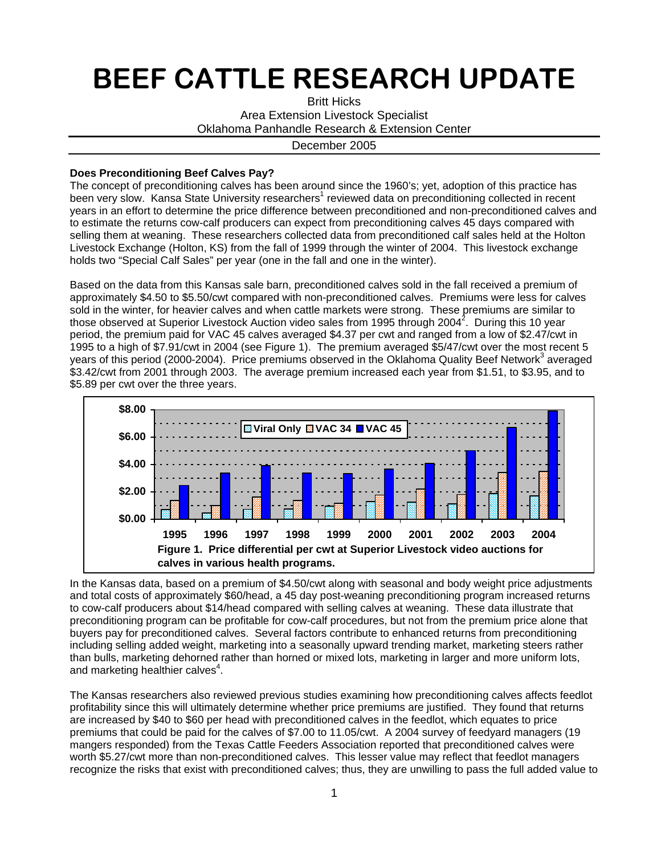## BEEF CATTLE RESEARCH UPDATE

Britt Hicks Area Extension Livestock Specialist Oklahoma Panhandle Research & Extension Center

December 2005

## **Does Preconditioning Beef Calves Pay?**

The concept of preconditioning calves has been around since the 1960's; yet, adoption of this practice has been very slow. Kansa State University researchers<sup>1</sup> reviewed data on preconditioning collected in recent years in an effort to determine the price difference between preconditioned and non-preconditioned calves and to estimate the returns cow-calf producers can expect from preconditioning calves 45 days compared with selling them at weaning. These researchers collected data from preconditioned calf sales held at the Holton Livestock Exchange (Holton, KS) from the fall of 1999 through the winter of 2004. This livestock exchange holds two "Special Calf Sales" per year (one in the fall and one in the winter).

Based on the data from this Kansas sale barn, preconditioned calves sold in the fall received a premium of approximately \$4.50 to \$5.50/cwt compared with non-preconditioned calves. Premiums were less for calves sold in the winter, for heavier calves and when cattle markets were strong. These premiums are similar to those observed at Superior Livestock Auction video sales from 1995 through 2004<sup>2</sup>. During this 10 year period, the premium paid for VAC 45 calves averaged \$4.37 per cwt and ranged from a low of \$2.47/cwt in 1995 to a high of \$7.91/cwt in 2004 (see Figure 1). The premium averaged \$5/47/cwt over the most recent 5 years of this period (2000-2004). Price premiums observed in the Oklahoma Quality Beef Network<sup>3</sup> averaged \$3.42/cwt from 2001 through 2003. The average premium increased each year from \$1.51, to \$3.95, and to \$5.89 per cwt over the three years.



In the Kansas data, based on a premium of \$4.50/cwt along with seasonal and body weight price adjustments and total costs of approximately \$60/head, a 45 day post-weaning preconditioning program increased returns to cow-calf producers about \$14/head compared with selling calves at weaning. These data illustrate that preconditioning program can be profitable for cow-calf procedures, but not from the premium price alone that buyers pay for preconditioned calves. Several factors contribute to enhanced returns from preconditioning including selling added weight, marketing into a seasonally upward trending market, marketing steers rather than bulls, marketing dehorned rather than horned or mixed lots, marketing in larger and more uniform lots, and marketing healthier calves<sup>4</sup>.

The Kansas researchers also reviewed previous studies examining how preconditioning calves affects feedlot profitability since this will ultimately determine whether price premiums are justified. They found that returns are increased by \$40 to \$60 per head with preconditioned calves in the feedlot, which equates to price premiums that could be paid for the calves of \$7.00 to 11.05/cwt. A 2004 survey of feedyard managers (19 mangers responded) from the Texas Cattle Feeders Association reported that preconditioned calves were worth \$5.27/cwt more than non-preconditioned calves. This lesser value may reflect that feedlot managers recognize the risks that exist with preconditioned calves; thus, they are unwilling to pass the full added value to